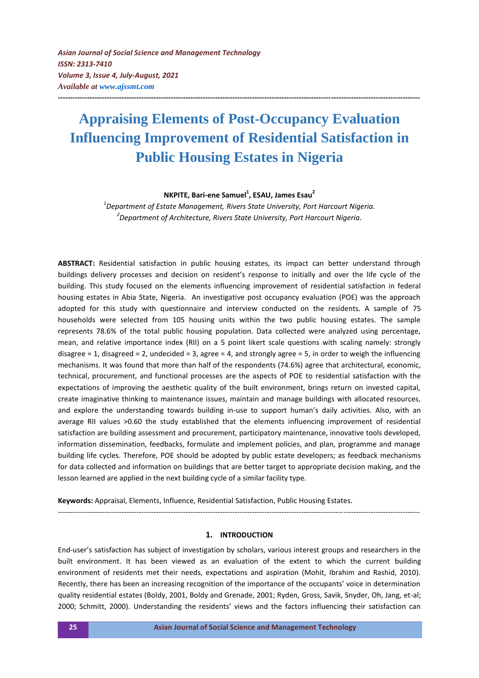# **Appraising Elements of Post-Occupancy Evaluation Influencing Improvement of Residential Satisfaction in Public Housing Estates in Nigeria**

**---------------------------------------------------------------------------------------------------------------------------------------------------**

**NKPITE, Bari-ene Samuel<sup>1</sup> , ESAU, James Esau<sup>2</sup>**

*1 Department of Estate Management, Rivers State University, Port Harcourt Nigeria. 2 Department of Architecture, Rivers State University, Port Harcourt Nigeria.*

**ABSTRACT:** Residential satisfaction in public housing estates, its impact can better understand through buildings delivery processes and decision on resident's response to initially and over the life cycle of the building. This study focused on the elements influencing improvement of residential satisfaction in federal housing estates in Abia State, Nigeria. An investigative post occupancy evaluation (POE) was the approach adopted for this study with questionnaire and interview conducted on the residents. A sample of 75 households were selected from 105 housing units within the two public housing estates. The sample represents 78.6% of the total public housing population. Data collected were analyzed using percentage, mean, and relative importance index (RII) on a 5 point likert scale questions with scaling namely: strongly disagree = 1, disagreed = 2, undecided = 3, agree = 4, and strongly agree = 5, in order to weigh the influencing mechanisms. It was found that more than half of the respondents (74.6%) agree that architectural, economic, technical, procurement, and functional processes are the aspects of POE to residential satisfaction with the expectations of improving the aesthetic quality of the built environment, brings return on invested capital, create imaginative thinking to maintenance issues, maintain and manage buildings with allocated resources, and explore the understanding towards building in-use to support human's daily activities. Also, with an average RII values >0.60 the study established that the elements influencing improvement of residential satisfaction are building assessment and procurement, participatory maintenance, innovative tools developed, information dissemination, feedbacks, formulate and implement policies, and plan, programme and manage building life cycles. Therefore, POE should be adopted by public estate developers; as feedback mechanisms for data collected and information on buildings that are better target to appropriate decision making, and the lesson learned are applied in the next building cycle of a similar facility type.

**Keywords:** Appraisal, Elements, Influence, Residential Satisfaction, Public Housing Estates.

## **1. INTRODUCTION**

*---------------------------------------------------------------------------------------------------------------------------------------------------*

End-user's satisfaction has subject of investigation by scholars, various interest groups and researchers in the built environment. It has been viewed as an evaluation of the extent to which the current building environment of residents met their needs, expectations and aspiration (Mohit, Ibrahim and Rashid, 2010). Recently, there has been an increasing recognition of the importance of the occupants' voice in determination quality residential estates (Boldy, 2001, Boldy and Grenade, 2001; Ryden, Gross, Savik, Snyder, Oh, Jang, et-al; 2000; Schmitt, 2000). Understanding the residents' views and the factors influencing their satisfaction can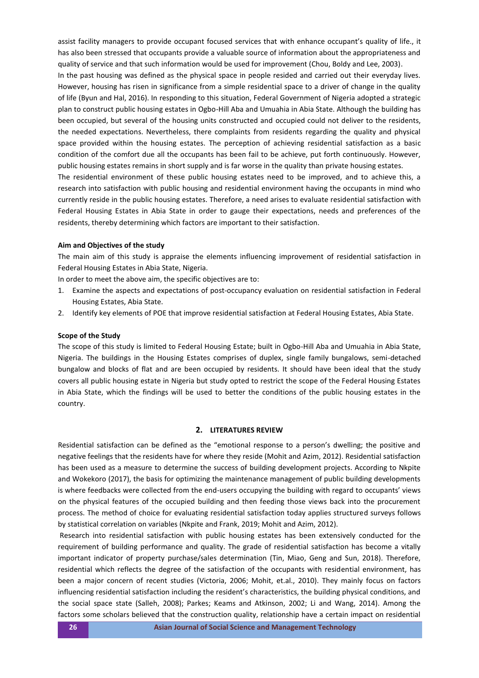assist facility managers to provide occupant focused services that with enhance occupant's quality of life., it has also been stressed that occupants provide a valuable source of information about the appropriateness and quality of service and that such information would be used for improvement (Chou, Boldy and Lee, 2003).

In the past housing was defined as the physical space in people resided and carried out their everyday lives. However, housing has risen in significance from a simple residential space to a driver of change in the quality of life (Byun and Hal, 2016). In responding to this situation, Federal Government of Nigeria adopted a strategic plan to construct public housing estates in Ogbo-Hill Aba and Umuahia in Abia State. Although the building has been occupied, but several of the housing units constructed and occupied could not deliver to the residents, the needed expectations. Nevertheless, there complaints from residents regarding the quality and physical space provided within the housing estates. The perception of achieving residential satisfaction as a basic condition of the comfort due all the occupants has been fail to be achieve, put forth continuously. However, public housing estates remains in short supply and is far worse in the quality than private housing estates.

The residential environment of these public housing estates need to be improved, and to achieve this, a research into satisfaction with public housing and residential environment having the occupants in mind who currently reside in the public housing estates. Therefore, a need arises to evaluate residential satisfaction with Federal Housing Estates in Abia State in order to gauge their expectations, needs and preferences of the residents, thereby determining which factors are important to their satisfaction.

### **Aim and Objectives of the study**

The main aim of this study is appraise the elements influencing improvement of residential satisfaction in Federal Housing Estates in Abia State, Nigeria.

In order to meet the above aim, the specific objectives are to:

- 1. Examine the aspects and expectations of post-occupancy evaluation on residential satisfaction in Federal Housing Estates, Abia State.
- 2. Identify key elements of POE that improve residential satisfaction at Federal Housing Estates, Abia State.

#### **Scope of the Study**

The scope of this study is limited to Federal Housing Estate; built in Ogbo-Hill Aba and Umuahia in Abia State, Nigeria. The buildings in the Housing Estates comprises of duplex, single family bungalows, semi-detached bungalow and blocks of flat and are been occupied by residents. It should have been ideal that the study covers all public housing estate in Nigeria but study opted to restrict the scope of the Federal Housing Estates in Abia State, which the findings will be used to better the conditions of the public housing estates in the country.

# **2. LITERATURES REVIEW**

Residential satisfaction can be defined as the "emotional response to a person's dwelling; the positive and negative feelings that the residents have for where they reside (Mohit and Azim, 2012). Residential satisfaction has been used as a measure to determine the success of building development projects. According to Nkpite and Wokekoro (2017), the basis for optimizing the maintenance management of public building developments is where feedbacks were collected from the end-users occupying the building with regard to occupants' views on the physical features of the occupied building and then feeding those views back into the procurement process. The method of choice for evaluating residential satisfaction today applies structured surveys follows by statistical correlation on variables (Nkpite and Frank, 2019; Mohit and Azim, 2012).

Research into residential satisfaction with public housing estates has been extensively conducted for the requirement of building performance and quality. The grade of residential satisfaction has become a vitally important indicator of property purchase/sales determination (Tin, Miao, Geng and Sun, 2018). Therefore, residential which reflects the degree of the satisfaction of the occupants with residential environment, has been a major concern of recent studies (Victoria, 2006; Mohit, et.al., 2010). They mainly focus on factors influencing residential satisfaction including the resident's characteristics, the building physical conditions, and the social space state (Salleh, 2008); Parkes; Keams and Atkinson, 2002; Li and Wang, 2014). Among the factors some scholars believed that the construction quality, relationship have a certain impact on residential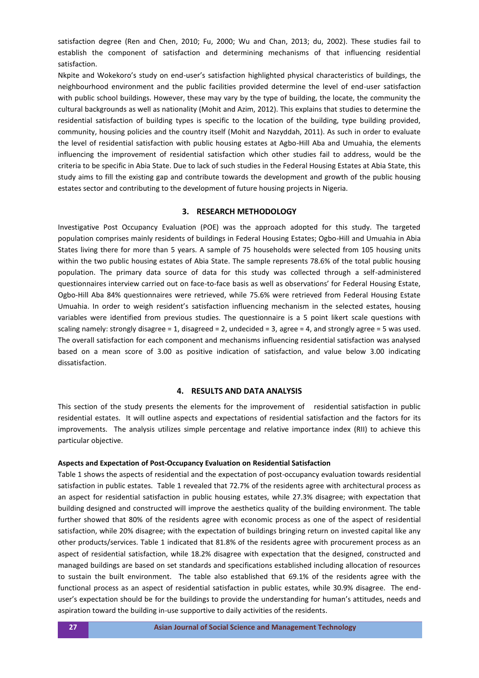satisfaction degree (Ren and Chen, 2010; Fu, 2000; Wu and Chan, 2013; du, 2002). These studies fail to establish the component of satisfaction and determining mechanisms of that influencing residential satisfaction.

Nkpite and Wokekoro's study on end-user's satisfaction highlighted physical characteristics of buildings, the neighbourhood environment and the public facilities provided determine the level of end-user satisfaction with public school buildings. However, these may vary by the type of building, the locate, the community the cultural backgrounds as well as nationality (Mohit and Azim, 2012). This explains that studies to determine the residential satisfaction of building types is specific to the location of the building, type building provided, community, housing policies and the country itself (Mohit and Nazyddah, 2011). As such in order to evaluate the level of residential satisfaction with public housing estates at Agbo-Hill Aba and Umuahia, the elements influencing the improvement of residential satisfaction which other studies fail to address, would be the criteria to be specific in Abia State. Due to lack of such studies in the Federal Housing Estates at Abia State, this study aims to fill the existing gap and contribute towards the development and growth of the public housing estates sector and contributing to the development of future housing projects in Nigeria.

## **3. RESEARCH METHODOLOGY**

Investigative Post Occupancy Evaluation (POE) was the approach adopted for this study. The targeted population comprises mainly residents of buildings in Federal Housing Estates; Ogbo-Hill and Umuahia in Abia States living there for more than 5 years. A sample of 75 households were selected from 105 housing units within the two public housing estates of Abia State. The sample represents 78.6% of the total public housing population. The primary data source of data for this study was collected through a self-administered questionnaires interview carried out on face-to-face basis as well as observations' for Federal Housing Estate, Ogbo-Hill Aba 84% questionnaires were retrieved, while 75.6% were retrieved from Federal Housing Estate Umuahia. In order to weigh resident's satisfaction influencing mechanism in the selected estates, housing variables were identified from previous studies. The questionnaire is a 5 point likert scale questions with scaling namely: strongly disagree = 1, disagreed = 2, undecided = 3, agree = 4, and strongly agree = 5 was used. The overall satisfaction for each component and mechanisms influencing residential satisfaction was analysed based on a mean score of 3.00 as positive indication of satisfaction, and value below 3.00 indicating dissatisfaction.

# **4. RESULTS AND DATA ANALYSIS**

This section of the study presents the elements for the improvement of residential satisfaction in public residential estates. It will outline aspects and expectations of residential satisfaction and the factors for its improvements. The analysis utilizes simple percentage and relative importance index (RII) to achieve this particular objective.

#### **Aspects and Expectation of Post-Occupancy Evaluation on Residential Satisfaction**

Table 1 shows the aspects of residential and the expectation of post-occupancy evaluation towards residential satisfaction in public estates. Table 1 revealed that 72.7% of the residents agree with architectural process as an aspect for residential satisfaction in public housing estates, while 27.3% disagree; with expectation that building designed and constructed will improve the aesthetics quality of the building environment. The table further showed that 80% of the residents agree with economic process as one of the aspect of residential satisfaction, while 20% disagree; with the expectation of buildings bringing return on invested capital like any other products/services. Table 1 indicated that 81.8% of the residents agree with procurement process as an aspect of residential satisfaction, while 18.2% disagree with expectation that the designed, constructed and managed buildings are based on set standards and specifications established including allocation of resources to sustain the built environment. The table also established that 69.1% of the residents agree with the functional process as an aspect of residential satisfaction in public estates, while 30.9% disagree. The enduser's expectation should be for the buildings to provide the understanding for human's attitudes, needs and aspiration toward the building in-use supportive to daily activities of the residents.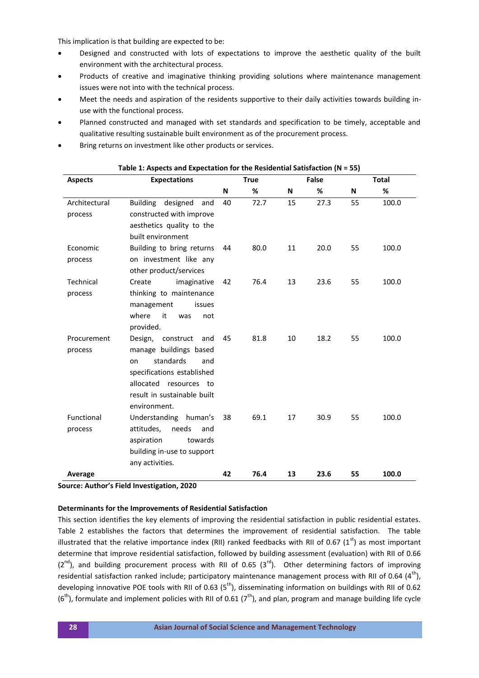This implication is that building are expected to be:

- Designed and constructed with lots of expectations to improve the aesthetic quality of the built environment with the architectural process.
- Products of creative and imaginative thinking providing solutions where maintenance management issues were not into with the technical process.
- Meet the needs and aspiration of the residents supportive to their daily activities towards building inuse with the functional process.
- Planned constructed and managed with set standards and specification to be timely, acceptable and qualitative resulting sustainable built environment as of the procurement process.
- Bring returns on investment like other products or services.

| <b>Aspects</b> | <b>Expectations</b>         | <b>True</b> |      | False |      | <b>Total</b> |       |
|----------------|-----------------------------|-------------|------|-------|------|--------------|-------|
|                |                             | N           | %    | N     | %    | N            | %     |
| Architectural  | Building designed<br>and    | 40          | 72.7 | 15    | 27.3 | 55           | 100.0 |
| process        | constructed with improve    |             |      |       |      |              |       |
|                | aesthetics quality to the   |             |      |       |      |              |       |
|                | built environment           |             |      |       |      |              |       |
| Economic       | Building to bring returns   | 44          | 80.0 | 11    | 20.0 | 55           | 100.0 |
| process        | on investment like any      |             |      |       |      |              |       |
|                | other product/services      |             |      |       |      |              |       |
| Technical      | Create<br>imaginative       | 42          | 76.4 | 13    | 23.6 | 55           | 100.0 |
| process        | thinking to maintenance     |             |      |       |      |              |       |
|                | management<br>issues        |             |      |       |      |              |       |
|                | where<br>it<br>was<br>not   |             |      |       |      |              |       |
|                | provided.                   |             |      |       |      |              |       |
| Procurement    | Design, construct and       | 45          | 81.8 | 10    | 18.2 | 55           | 100.0 |
| process        | manage buildings based      |             |      |       |      |              |       |
|                | standards<br>and<br>on      |             |      |       |      |              |       |
|                | specifications established  |             |      |       |      |              |       |
|                | allocated resources to      |             |      |       |      |              |       |
|                | result in sustainable built |             |      |       |      |              |       |
|                | environment.                |             |      |       |      |              |       |
| Functional     | Understanding<br>human's    | 38          | 69.1 | 17    | 30.9 | 55           | 100.0 |
| process        | attitudes,<br>needs<br>and  |             |      |       |      |              |       |
|                | aspiration<br>towards       |             |      |       |      |              |       |
|                | building in-use to support  |             |      |       |      |              |       |
|                | any activities.             |             |      |       |      |              |       |
| Average        |                             | 42          | 76.4 | 13    | 23.6 | 55           | 100.0 |

#### **Table 1: Aspects and Expectation for the Residential Satisfaction (N = 55)**

**Source: Author's Field Investigation, 2020**

## **Determinants for the Improvements of Residential Satisfaction**

This section identifies the key elements of improving the residential satisfaction in public residential estates. Table 2 establishes the factors that determines the improvement of residential satisfaction. The table illustrated that the relative importance index (RII) ranked feedbacks with RII of 0.67 (1st) as most important determine that improve residential satisfaction, followed by building assessment (evaluation) with RII of 0.66  $(2^{nd})$ , and building procurement process with RII of 0.65  $(3^{rd})$ . Other determining factors of improving residential satisfaction ranked include; participatory maintenance management process with RII of 0.64  $(4<sup>th</sup>)$ , developing innovative POE tools with RII of 0.63 ( $5<sup>th</sup>$ ), disseminating information on buildings with RII of 0.62  $(6<sup>th</sup>)$ , formulate and implement policies with RII of 0.61 (7<sup>th</sup>), and plan, program and manage building life cycle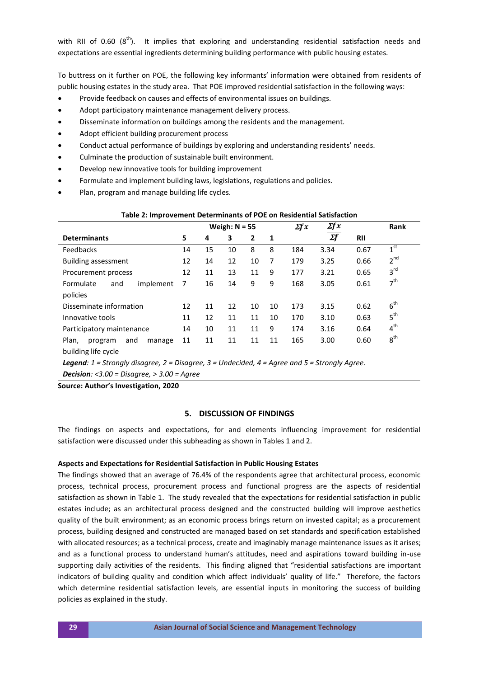with RII of 0.60  $(8<sup>th</sup>)$ . It implies that exploring and understanding residential satisfaction needs and expectations are essential ingredients determining building performance with public housing estates.

To buttress on it further on POE, the following key informants' information were obtained from residents of public housing estates in the study area. That POE improved residential satisfaction in the following ways:

- Provide feedback on causes and effects of environmental issues on buildings.
- Adopt participatory maintenance management delivery process.
- Disseminate information on buildings among the residents and the management.
- Adopt efficient building procurement process
- Conduct actual performance of buildings by exploring and understanding residents' needs.
- Culminate the production of sustainable built environment.
- Develop new innovative tools for building improvement
- Formulate and implement building laws, legislations, regulations and policies.
- Plan, program and manage building life cycles.

| Table 2: Improvement Determinants of POE on Residential Satisfaction |                 |    |    |              |              |                             |            |      |                 |  |  |
|----------------------------------------------------------------------|-----------------|----|----|--------------|--------------|-----------------------------|------------|------|-----------------|--|--|
|                                                                      | Weigh: $N = 55$ |    |    |              | $\Sigma f x$ | $\mathbf{x}$ f $\mathbf{x}$ |            | Rank |                 |  |  |
| <b>Determinants</b>                                                  |                 | 4  | 3  | $\mathbf{2}$ | 1            |                             | $\Sigma f$ | RII  |                 |  |  |
| Feedbacks                                                            |                 | 15 | 10 | 8            | 8            | 184                         | 3.34       | 0.67 | 1 <sup>st</sup> |  |  |
| Building assessment                                                  |                 | 14 | 12 | 10           | 7            | 179                         | 3.25       | 0.66 | $2^{nd}$        |  |  |
| Procurement process                                                  |                 | 11 | 13 | 11           | 9            | 177                         | 3.21       | 0.65 | $3^{\text{rd}}$ |  |  |
| Formulate<br>implement<br>and                                        | 7               | 16 | 14 | 9            | 9            | 168                         | 3.05       | 0.61 | 7 <sup>th</sup> |  |  |
| policies                                                             |                 |    |    |              |              |                             |            |      |                 |  |  |
| Disseminate information                                              |                 | 11 | 12 | 10           | 10           | 173                         | 3.15       | 0.62 | $6^{\text{th}}$ |  |  |
| Innovative tools                                                     |                 | 12 | 11 | 11           | 10           | 170                         | 3.10       | 0.63 | 5 <sup>th</sup> |  |  |
| Participatory maintenance                                            |                 | 10 | 11 | 11           | 9            | 174                         | 3.16       | 0.64 | 4 <sup>th</sup> |  |  |
| Plan,<br>and<br>program<br>manage                                    | 11              | 11 | 11 | 11           | 11           | 165                         | 3.00       | 0.60 | $8^{\text{th}}$ |  |  |
| building life cycle                                                  |                 |    |    |              |              |                             |            |      |                 |  |  |

*Legend: 1 = Strongly disagree, 2 = Disagree, 3 = Undecided, 4 = Agree and 5 = Strongly Agree.* 

*Decision: <3.00 = Disagree, > 3.00 = Agree* 

**Source: Author's Investigation, 2020**

## **5. DISCUSSION OF FINDINGS**

The findings on aspects and expectations, for and elements influencing improvement for residential satisfaction were discussed under this subheading as shown in Tables 1 and 2.

## **Aspects and Expectations for Residential Satisfaction in Public Housing Estates**

The findings showed that an average of 76.4% of the respondents agree that architectural process, economic process, technical process, procurement process and functional progress are the aspects of residential satisfaction as shown in Table 1. The study revealed that the expectations for residential satisfaction in public estates include; as an architectural process designed and the constructed building will improve aesthetics quality of the built environment; as an economic process brings return on invested capital; as a procurement process, building designed and constructed are managed based on set standards and specification established with allocated resources; as a technical process, create and imaginably manage maintenance issues as it arises; and as a functional process to understand human's attitudes, need and aspirations toward building in-use supporting daily activities of the residents. This finding aligned that "residential satisfactions are important indicators of building quality and condition which affect individuals' quality of life." Therefore, the factors which determine residential satisfaction levels, are essential inputs in monitoring the success of building policies as explained in the study.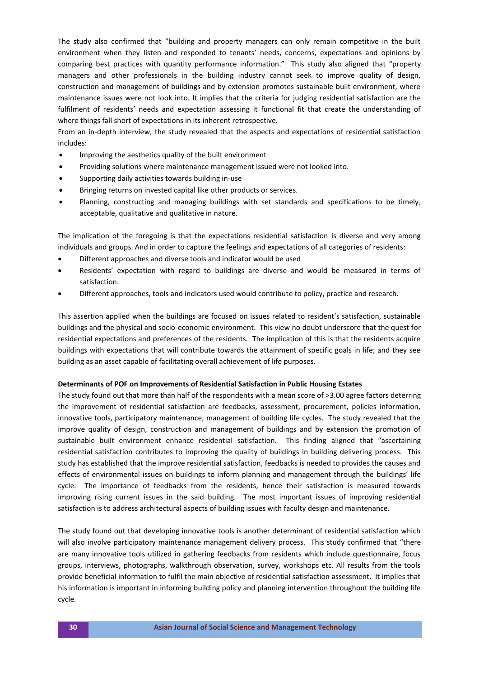The study also confirmed that "building and property managers can only remain competitive in the built environment when they listen and responded to tenants' needs, concerns, expectations and opinions by comparing best practices with quantity performance information." This study also aligned that "property managers and other professionals in the building industry cannot seek to improve quality of design, construction and management of buildings and by extension promotes sustainable built environment, where maintenance issues were not look into. It implies that the criteria for judging residential satisfaction are the fulfilment of residents' needs and expectation assessing it functional fit that create the understanding of where things fall short of expectations in its inherent retrospective.

From an in-depth interview, the study revealed that the aspects and expectations of residential satisfaction includes:

- Improving the aesthetics quality of the built environment
- Providing solutions where maintenance management issued were not looked into.
- Supporting daily activities towards building in-use
- Bringing returns on invested capital like other products or services.
- Planning, constructing and managing buildings with set standards and specifications to be timely, acceptable, qualitative and qualitative in nature.

The implication of the foregoing is that the expectations residential satisfaction is diverse and very among individuals and groups. And in order to capture the feelings and expectations of all categories of residents:

- Different approaches and diverse tools and indicator would be used
- Residents' expectation with regard to buildings are diverse and would be measured in terms of satisfaction.
- Different approaches, tools and indicators used would contribute to policy, practice and research.

This assertion applied when the buildings are focused on issues related to resident's satisfaction, sustainable buildings and the physical and socio-economic environment. This view no doubt underscore that the quest for residential expectations and preferences of the residents. The implication of this is that the residents acquire buildings with expectations that will contribute towards the attainment of specific goals in life; and they see building as an asset capable of facilitating overall achievement of life purposes.

#### **Determinants of POF on Improvements of Residential Satisfaction in Public Housing Estates**

The study found out that more than half of the respondents with a mean score of >3.00 agree factors deterring the improvement of residential satisfaction are feedbacks, assessment, procurement, policies information, innovative tools, participatory maintenance, management of building life cycles. The study revealed that the improve quality of design, construction and management of buildings and by extension the promotion of sustainable built environment enhance residential satisfaction. This finding aligned that "ascertaining residential satisfaction contributes to improving the quality of buildings in building delivering process. This study has established that the improve residential satisfaction, feedbacks is needed to provides the causes and effects of environmental issues on buildings to inform planning and management through the buildings' life cycle. The importance of feedbacks from the residents, hence their satisfaction is measured towards improving rising current issues in the said building. The most important issues of improving residential satisfaction is to address architectural aspects of building issues with faculty design and maintenance.

The study found out that developing innovative tools is another determinant of residential satisfaction which will also involve participatory maintenance management delivery process. This study confirmed that "there are many innovative tools utilized in gathering feedbacks from residents which include questionnaire, focus groups, interviews, photographs, walkthrough observation, survey, workshops etc. All results from the tools provide beneficial information to fulfil the main objective of residential satisfaction assessment. It implies that his information is important in informing building policy and planning intervention throughout the building life cycle.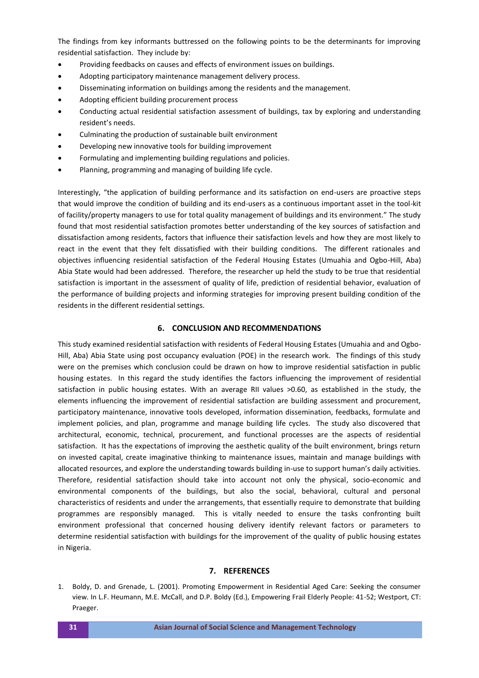The findings from key informants buttressed on the following points to be the determinants for improving residential satisfaction. They include by:

- Providing feedbacks on causes and effects of environment issues on buildings.
- Adopting participatory maintenance management delivery process.
- Disseminating information on buildings among the residents and the management.
- Adopting efficient building procurement process
- Conducting actual residential satisfaction assessment of buildings, tax by exploring and understanding resident's needs.
- Culminating the production of sustainable built environment
- Developing new innovative tools for building improvement
- Formulating and implementing building regulations and policies.
- Planning, programming and managing of building life cycle.

Interestingly, "the application of building performance and its satisfaction on end-users are proactive steps that would improve the condition of building and its end-users as a continuous important asset in the tool-kit of facility/property managers to use for total quality management of buildings and its environment." The study found that most residential satisfaction promotes better understanding of the key sources of satisfaction and dissatisfaction among residents, factors that influence their satisfaction levels and how they are most likely to react in the event that they felt dissatisfied with their building conditions. The different rationales and objectives influencing residential satisfaction of the Federal Housing Estates (Umuahia and Ogbo-Hill, Aba) Abia State would had been addressed. Therefore, the researcher up held the study to be true that residential satisfaction is important in the assessment of quality of life, prediction of residential behavior, evaluation of the performance of building projects and informing strategies for improving present building condition of the residents in the different residential settings.

# **6. CONCLUSION AND RECOMMENDATIONS**

This study examined residential satisfaction with residents of Federal Housing Estates (Umuahia and and Ogbo-Hill, Aba) Abia State using post occupancy evaluation (POE) in the research work. The findings of this study were on the premises which conclusion could be drawn on how to improve residential satisfaction in public housing estates. In this regard the study identifies the factors influencing the improvement of residential satisfaction in public housing estates. With an average RII values >0.60, as established in the study, the elements influencing the improvement of residential satisfaction are building assessment and procurement, participatory maintenance, innovative tools developed, information dissemination, feedbacks, formulate and implement policies, and plan, programme and manage building life cycles. The study also discovered that architectural, economic, technical, procurement, and functional processes are the aspects of residential satisfaction. It has the expectations of improving the aesthetic quality of the built environment, brings return on invested capital, create imaginative thinking to maintenance issues, maintain and manage buildings with allocated resources, and explore the understanding towards building in-use to support human's daily activities. Therefore, residential satisfaction should take into account not only the physical, socio-economic and environmental components of the buildings, but also the social, behavioral, cultural and personal characteristics of residents and under the arrangements, that essentially require to demonstrate that building programmes are responsibly managed. This is vitally needed to ensure the tasks confronting built environment professional that concerned housing delivery identify relevant factors or parameters to determine residential satisfaction with buildings for the improvement of the quality of public housing estates in Nigeria.

# **7. REFERENCES**

1. Boldy, D. and Grenade, L. (2001). Promoting Empowerment in Residential Aged Care: Seeking the consumer view. In L.F. Heumann, M.E. McCall, and D.P. Boldy (Ed.), Empowering Frail Elderly People: 41-52; Westport, CT: Praeger.